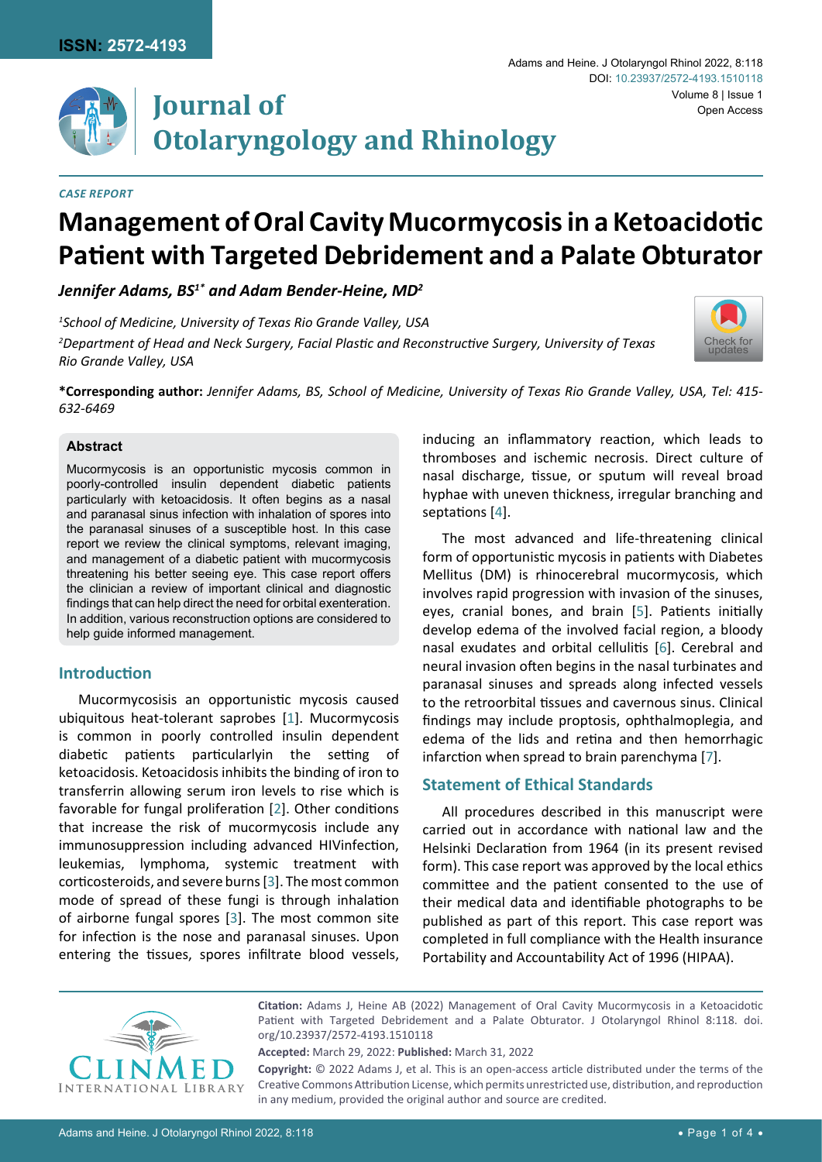

# **Journal of Otolaryngology and Rhinology**

#### *Case Report*

#### Adams and Heine. J Otolaryngol Rhinol 2022, 8:118 Volume 8 | Issue 1 DOI: [10.23937/2572-4193.1510118](https://doi.org/10.23937/2572-4193.1510118) Open Access



# *Jennifer Adams, BS1\* and Adam Bender-Heine, MD2*

*1 School of Medicine, University of Texas Rio Grande Valley, USA*

*2 Department of Head and Neck Surgery, Facial Plastic and Reconstructive Surgery, University of Texas Rio Grande Valley, USA*



**\*Corresponding author:** *Jennifer Adams, BS, School of Medicine, University of Texas Rio Grande Valley, USA, Tel: 415- 632-6469*

#### **Abstract**

Mucormycosis is an opportunistic mycosis common in poorly-controlled insulin dependent diabetic patients particularly with ketoacidosis. It often begins as a nasal and paranasal sinus infection with inhalation of spores into the paranasal sinuses of a susceptible host. In this case report we review the clinical symptoms, relevant imaging, and management of a diabetic patient with mucormycosis threatening his better seeing eye. This case report offers the clinician a review of important clinical and diagnostic findings that can help direct the need for orbital exenteration. In addition, various reconstruction options are considered to help guide informed management.

#### **Introduction**

Mucormycosisis an opportunistic mycosis caused ubiquitous heat-tolerant saprobes [[1](#page-2-0)]. Mucormycosis is common in poorly controlled insulin dependent diabetic patients particularlyin the setting of ketoacidosis. Ketoacidosis inhibits the binding of iron to transferrin allowing serum iron levels to rise which is favorable for fungal proliferation [[2](#page-2-1)]. Other conditions that increase the risk of mucormycosis include any immunosuppression including advanced HIVinfection, leukemias, lymphoma, systemic treatment with corticosteroids, and severe burns [[3](#page-3-4)]. The most common mode of spread of these fungi is through inhalation of airborne fungal spores [[3](#page-3-4)]. The most common site for infection is the nose and paranasal sinuses. Upon entering the tissues, spores infiltrate blood vessels,

inducing an inflammatory reaction, which leads to thromboses and ischemic necrosis. Direct culture of nasal discharge, tissue, or sputum will reveal broad hyphae with uneven thickness, irregular branching and septations [[4](#page-3-0)].

The most advanced and life-threatening clinical form of opportunistic mycosis in patients with Diabetes Mellitus (DM) is rhinocerebral mucormycosis, which involves rapid progression with invasion of the sinuses, eyes, cranial bones, and brain [[5\]](#page-3-1). Patients initially develop edema of the involved facial region, a bloody nasal exudates and orbital cellulitis [[6](#page-3-2)]. Cerebral and neural invasion often begins in the nasal turbinates and paranasal sinuses and spreads along infected vessels to the retroorbital tissues and cavernous sinus. Clinical findings may include proptosis, ophthalmoplegia, and edema of the lids and retina and then hemorrhagic infarction when spread to brain parenchyma [\[7\]](#page-3-3).

## **Statement of Ethical Standards**

All procedures described in this manuscript were carried out in accordance with national law and the Helsinki Declaration from 1964 (in its present revised form). This case report was approved by the local ethics committee and the patient consented to the use of their medical data and identifiable photographs to be published as part of this report. This case report was completed in full compliance with the Health insurance Portability and Accountability Act of 1996 (HIPAA).



**Citation:** Adams J, Heine AB (2022) Management of Oral Cavity Mucormycosis in a Ketoacidotic Patient with Targeted Debridement and a Palate Obturator. J Otolaryngol Rhinol 8:118. [doi.](https://doi.org/10.23937/2572-4193.1510118) [org/10.23937/2572-4193.1510118](https://doi.org/10.23937/2572-4193.1510118)

**Accepted:** March 29, 2022: **Published:** March 31, 2022

**Copyright:** © 2022 Adams J, et al. This is an open-access article distributed under the terms of the Creative Commons Attribution License, which permits unrestricted use, distribution, and reproduction in any medium, provided the original author and source are credited.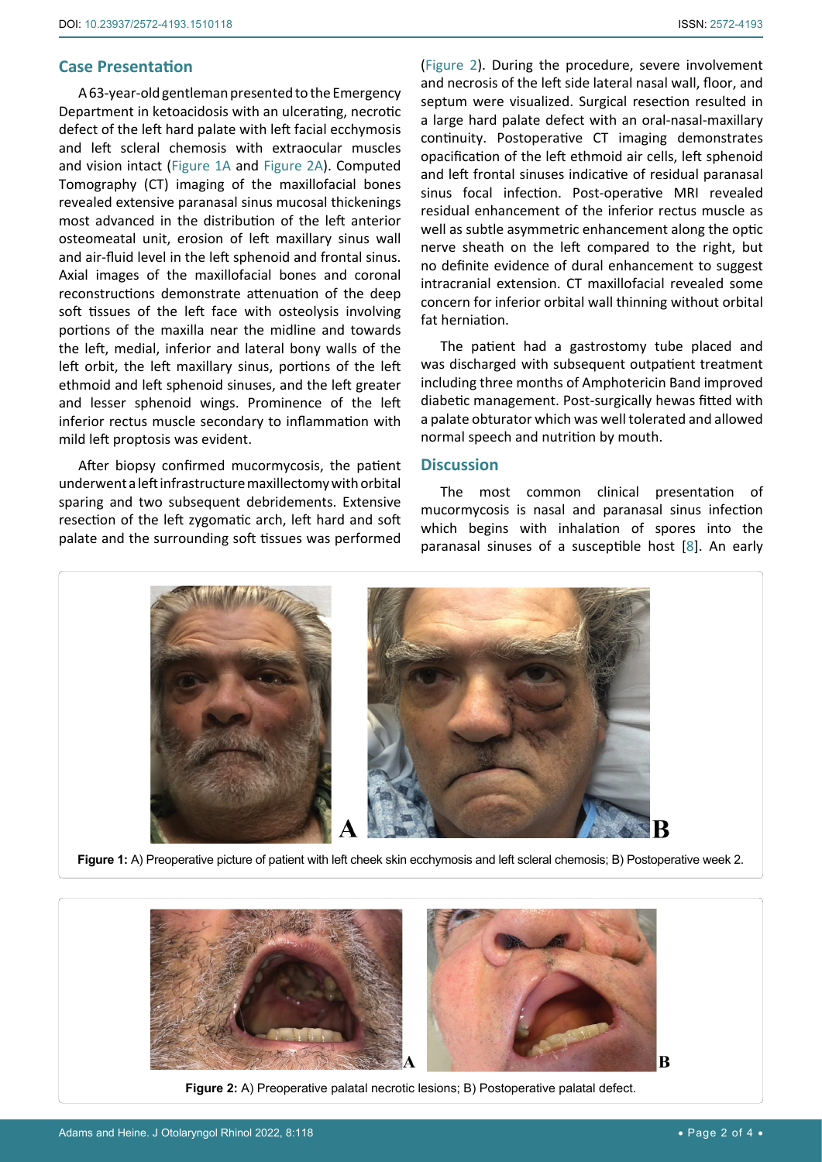#### **Case Presentation**

<span id="page-1-1"></span>Ĩ

A 63-year-old gentleman presented to the Emergency Department in ketoacidosis with an ulcerating, necrotic defect of the left hard palate with left facial ecchymosis and left scleral chemosis with extraocular muscles and vision intact ([Figure 1A](#page-1-1) and [Figure 2A](#page-1-0)). Computed Tomography (CT) imaging of the maxillofacial bones revealed extensive paranasal sinus mucosal thickenings most advanced in the distribution of the left anterior osteomeatal unit, erosion of left maxillary sinus wall and air-fluid level in the left sphenoid and frontal sinus. Axial images of the maxillofacial bones and coronal reconstructions demonstrate attenuation of the deep soft tissues of the left face with osteolysis involving portions of the maxilla near the midline and towards the left, medial, inferior and lateral bony walls of the left orbit, the left maxillary sinus, portions of the left ethmoid and left sphenoid sinuses, and the left greater and lesser sphenoid wings. Prominence of the left inferior rectus muscle secondary to inflammation with mild left proptosis was evident.

After biopsy confirmed mucormycosis, the patient underwent a left infrastructure maxillectomy with orbital sparing and two subsequent debridements. Extensive resection of the left zygomatic arch, left hard and soft palate and the surrounding soft tissues was performed

[\(Figure 2](#page-1-0)). During the procedure, severe involvement and necrosis of the left side lateral nasal wall, floor, and septum were visualized. Surgical resection resulted in a large hard palate defect with an oral-nasal-maxillary continuity. Postoperative CT imaging demonstrates opacification of the left ethmoid air cells, left sphenoid and left frontal sinuses indicative of residual paranasal sinus focal infection. Post-operative MRI revealed residual enhancement of the inferior rectus muscle as well as subtle asymmetric enhancement along the optic nerve sheath on the left compared to the right, but no definite evidence of dural enhancement to suggest intracranial extension. CT maxillofacial revealed some concern for inferior orbital wall thinning without orbital fat herniation.

The patient had a gastrostomy tube placed and was discharged with subsequent outpatient treatment including three months of Amphotericin Band improved diabetic management. Post-surgically hewas fitted with a palate obturator which was well tolerated and allowed normal speech and nutrition by mouth.

#### **Discussion**

The most common clinical presentation of mucormycosis is nasal and paranasal sinus infection which begins with inhalation of spores into the paranasal sinuses of a susceptible host [\[8\]](#page-3-5). An early



**Figure 1:** A) Preoperative picture of patient with left cheek skin ecchymosis and left scleral chemosis; B) Postoperative week 2.

<span id="page-1-0"></span>

**Figure 2:** A) Preoperative palatal necrotic lesions; B) Postoperative palatal defect.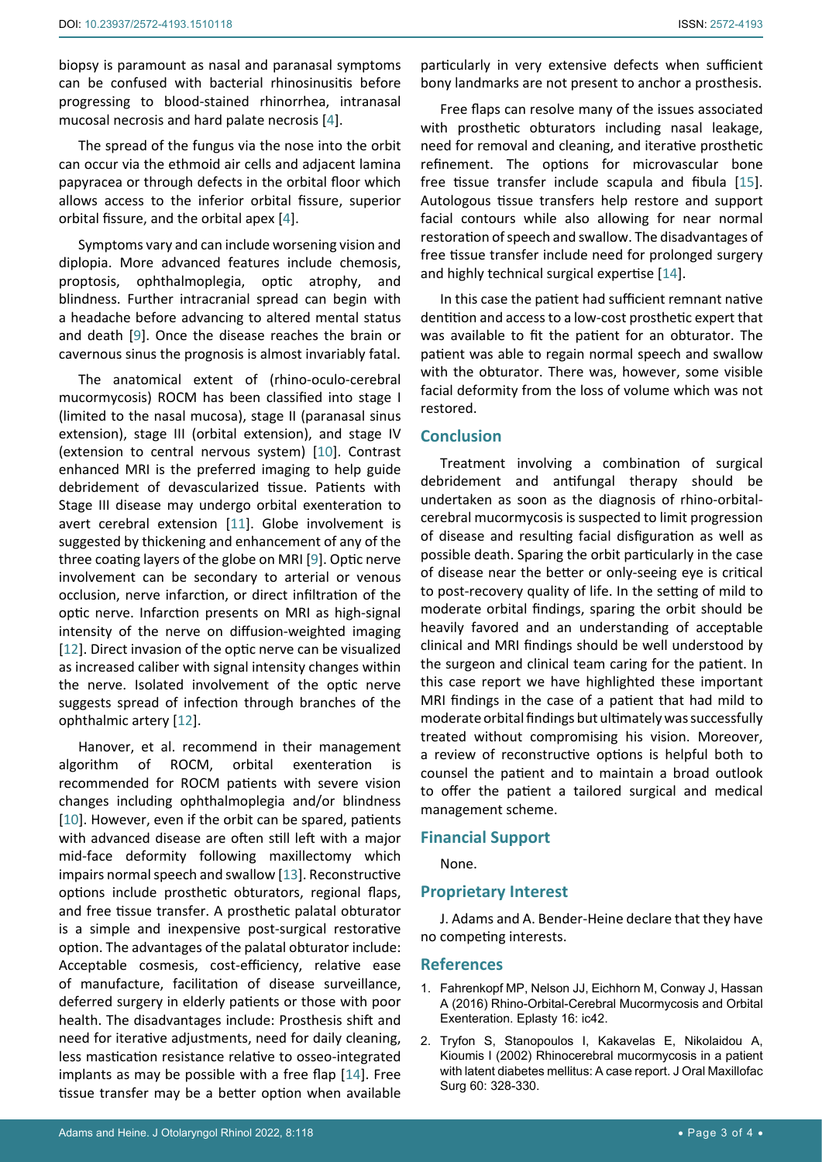biopsy is paramount as nasal and paranasal symptoms can be confused with bacterial rhinosinusitis before progressing to blood-stained rhinorrhea, intranasal mucosal necrosis and hard palate necrosis [[4](#page-3-0)].

The spread of the fungus via the nose into the orbit can occur via the ethmoid air cells and adjacent lamina papyracea or through defects in the orbital floor which allows access to the inferior orbital fissure, superior orbital fissure, and the orbital apex [[4\]](#page-3-0).

Symptoms vary and can include worsening vision and diplopia. More advanced features include chemosis, proptosis, ophthalmoplegia, optic atrophy, and blindness. Further intracranial spread can begin with a headache before advancing to altered mental status and death [[9](#page-3-8)]. Once the disease reaches the brain or cavernous sinus the prognosis is almost invariably fatal.

The anatomical extent of (rhino-oculo-cerebral mucormycosis) ROCM has been classified into stage I (limited to the nasal mucosa), stage II (paranasal sinus extension), stage III (orbital extension), and stage IV (extension to central nervous system) [[10](#page-3-9)]. Contrast enhanced MRI is the preferred imaging to help guide debridement of devascularized tissue. Patients with Stage III disease may undergo orbital exenteration to avert cerebral extension [[11](#page-3-10)]. Globe involvement is suggested by thickening and enhancement of any of the three coating layers of the globe on MRI [\[9\]](#page-3-8). Optic nerve involvement can be secondary to arterial or venous occlusion, nerve infarction, or direct infiltration of the optic nerve. Infarction presents on MRI as high-signal intensity of the nerve on diffusion-weighted imaging [[12](#page-3-11)]. Direct invasion of the optic nerve can be visualized as increased caliber with signal intensity changes within the nerve. Isolated involvement of the optic nerve suggests spread of infection through branches of the ophthalmic artery [[12\]](#page-3-11).

Hanover, et al. recommend in their management algorithm of ROCM, orbital exenteration is recommended for ROCM patients with severe vision changes including ophthalmoplegia and/or blindness [[10](#page-3-9)]. However, even if the orbit can be spared, patients with advanced disease are often still left with a major mid-face deformity following maxillectomy which impairs normal speech and swallow [[13](#page-3-12)]. Reconstructive options include prosthetic obturators, regional flaps, and free tissue transfer. A prosthetic palatal obturator is a simple and inexpensive post-surgical restorative option. The advantages of the palatal obturator include: Acceptable cosmesis, cost-efficiency, relative ease of manufacture, facilitation of disease surveillance, deferred surgery in elderly patients or those with poor health. The disadvantages include: Prosthesis shift and need for iterative adjustments, need for daily cleaning, less mastication resistance relative to osseo-integrated implants as may be possible with a free flap [\[14](#page-3-7)]. Free tissue transfer may be a better option when available

particularly in very extensive defects when sufficient bony landmarks are not present to anchor a prosthesis.

Free flaps can resolve many of the issues associated with prosthetic obturators including nasal leakage, need for removal and cleaning, and iterative prosthetic refinement. The options for microvascular bone free tissue transfer include scapula and fibula [\[15\]](#page-3-6). Autologous tissue transfers help restore and support facial contours while also allowing for near normal restoration of speech and swallow. The disadvantages of free tissue transfer include need for prolonged surgery and highly technical surgical expertise [[14\]](#page-3-7).

In this case the patient had sufficient remnant native dentition and access to a low-cost prosthetic expert that was available to fit the patient for an obturator. The patient was able to regain normal speech and swallow with the obturator. There was, however, some visible facial deformity from the loss of volume which was not restored.

#### **Conclusion**

Treatment involving a combination of surgical debridement and antifungal therapy should be undertaken as soon as the diagnosis of rhino-orbitalcerebral mucormycosis is suspected to limit progression of disease and resulting facial disfiguration as well as possible death. Sparing the orbit particularly in the case of disease near the better or only-seeing eye is critical to post-recovery quality of life. In the setting of mild to moderate orbital findings, sparing the orbit should be heavily favored and an understanding of acceptable clinical and MRI findings should be well understood by the surgeon and clinical team caring for the patient. In this case report we have highlighted these important MRI findings in the case of a patient that had mild to moderate orbital findings but ultimately was successfully treated without compromising his vision. Moreover, a review of reconstructive options is helpful both to counsel the patient and to maintain a broad outlook to offer the patient a tailored surgical and medical management scheme.

## **Financial Support**

None.

#### **Proprietary Interest**

J. Adams and A. Bender-Heine declare that they have no competing interests.

#### **References**

- <span id="page-2-0"></span>1. [Fahrenkopf MP, Nelson JJ, Eichhorn M, Conway J, Hassan](https://www.ncbi.nlm.nih.gov/labs/pmc/articles/PMC5101841/)  [A \(2016\) Rhino-Orbital-Cerebral Mucormycosis and Orbital](https://www.ncbi.nlm.nih.gov/labs/pmc/articles/PMC5101841/)  [Exenteration. Eplasty 16: ic42.](https://www.ncbi.nlm.nih.gov/labs/pmc/articles/PMC5101841/)
- <span id="page-2-1"></span>2. [Tryfon S, Stanopoulos I, Kakavelas E, Nikolaidou A,](https://pubmed.ncbi.nlm.nih.gov/11887153/)  [Kioumis I \(2002\) Rhinocerebral mucormycosis in a patient](https://pubmed.ncbi.nlm.nih.gov/11887153/)  [with latent diabetes mellitus: A case report. J Oral Maxillofac](https://pubmed.ncbi.nlm.nih.gov/11887153/)  [Surg 60: 328-330.](https://pubmed.ncbi.nlm.nih.gov/11887153/)